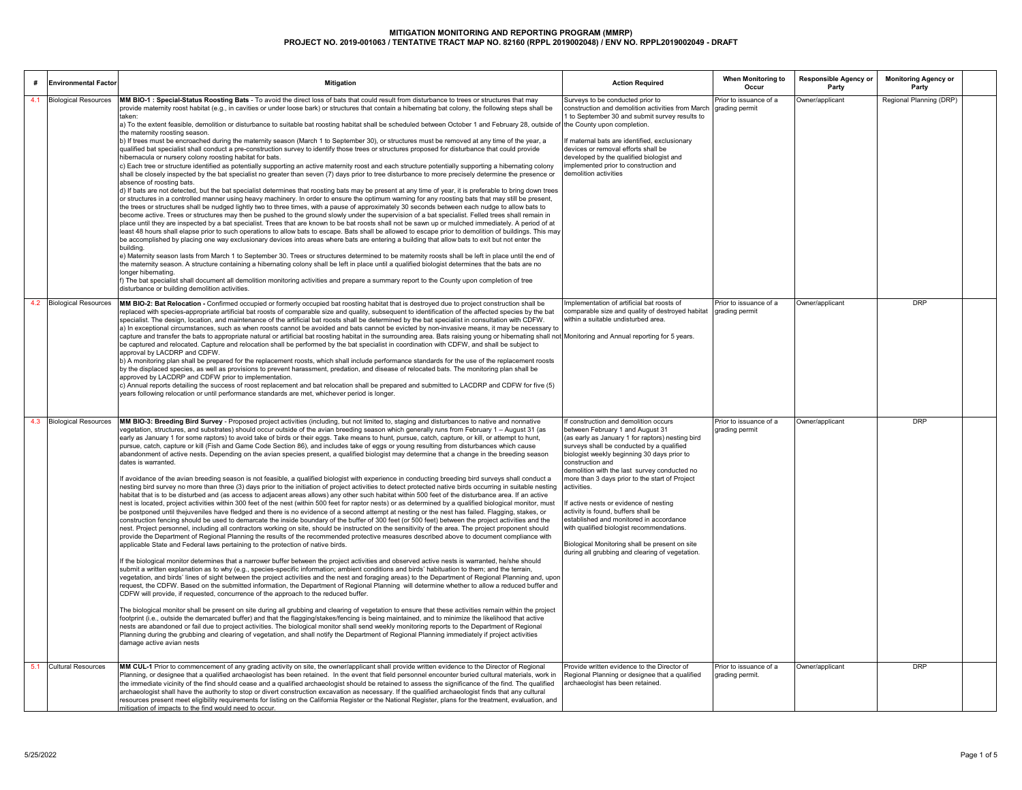|     | <b>Environmental Factor</b> | <b>Mitigation</b>                                                                                                                                                                                                                                                                                                                                                                                                                                                                                                                                                                                                                                                                                                                                                                                                                                                                                                                                                                                                                                                                                                                                                                                                                                                                                                                                                                                                                                                                                                                                                                                                                                                                                                                                                                                                                                                                                                                                                                                                                                                                                                                                                                                                                                                                                                                                                                                                                                                                                                                                                                                                                                                                                                                                                                                                                                                                                                                                                                                                                                                                                                                                                                                                                                                                                                                                                                                                                                                                                    | <b>Action Required</b>                                                                                                                                                                                                                                                                                                                                                                                                                                                                                                                                                                                                                      | When Monitoring to<br>Occur               | Responsible Agency or<br>Party | <b>Monitoring Agency or</b><br>Party |  |
|-----|-----------------------------|------------------------------------------------------------------------------------------------------------------------------------------------------------------------------------------------------------------------------------------------------------------------------------------------------------------------------------------------------------------------------------------------------------------------------------------------------------------------------------------------------------------------------------------------------------------------------------------------------------------------------------------------------------------------------------------------------------------------------------------------------------------------------------------------------------------------------------------------------------------------------------------------------------------------------------------------------------------------------------------------------------------------------------------------------------------------------------------------------------------------------------------------------------------------------------------------------------------------------------------------------------------------------------------------------------------------------------------------------------------------------------------------------------------------------------------------------------------------------------------------------------------------------------------------------------------------------------------------------------------------------------------------------------------------------------------------------------------------------------------------------------------------------------------------------------------------------------------------------------------------------------------------------------------------------------------------------------------------------------------------------------------------------------------------------------------------------------------------------------------------------------------------------------------------------------------------------------------------------------------------------------------------------------------------------------------------------------------------------------------------------------------------------------------------------------------------------------------------------------------------------------------------------------------------------------------------------------------------------------------------------------------------------------------------------------------------------------------------------------------------------------------------------------------------------------------------------------------------------------------------------------------------------------------------------------------------------------------------------------------------------------------------------------------------------------------------------------------------------------------------------------------------------------------------------------------------------------------------------------------------------------------------------------------------------------------------------------------------------------------------------------------------------------------------------------------------------------------------------------------------------|---------------------------------------------------------------------------------------------------------------------------------------------------------------------------------------------------------------------------------------------------------------------------------------------------------------------------------------------------------------------------------------------------------------------------------------------------------------------------------------------------------------------------------------------------------------------------------------------------------------------------------------------|-------------------------------------------|--------------------------------|--------------------------------------|--|
| 4.1 | <b>Biological Resources</b> | MM BIO-1 : Special-Status Roosting Bats - To avoid the direct loss of bats that could result from disturbance to trees or structures that may                                                                                                                                                                                                                                                                                                                                                                                                                                                                                                                                                                                                                                                                                                                                                                                                                                                                                                                                                                                                                                                                                                                                                                                                                                                                                                                                                                                                                                                                                                                                                                                                                                                                                                                                                                                                                                                                                                                                                                                                                                                                                                                                                                                                                                                                                                                                                                                                                                                                                                                                                                                                                                                                                                                                                                                                                                                                                                                                                                                                                                                                                                                                                                                                                                                                                                                                                        | Surveys to be conducted prior to                                                                                                                                                                                                                                                                                                                                                                                                                                                                                                                                                                                                            | Prior to issuance of a                    | Owner/applicant                | Regional Planning (DRP)              |  |
|     |                             | provide maternity roost habitat (e.g., in cavities or under loose bark) or structures that contain a hibernating bat colony, the following steps shall be<br>taken:<br>a) To the extent feasible, demolition or disturbance to suitable bat roosting habitat shall be scheduled between October 1 and February 28, outside of<br>the maternity roosting season.<br>b) If trees must be encroached during the maternity season (March 1 to September 30), or structures must be removed at any time of the year, a<br>qualified bat specialist shall conduct a pre-construction survey to identify those trees or structures proposed for disturbance that could provide<br>hibernacula or nursery colony roosting habitat for bats.<br>c) Each tree or structure identified as potentially supporting an active maternity roost and each structure potentially supporting a hibernating colony<br>shall be closely inspected by the bat specialist no greater than seven (7) days prior to tree disturbance to more precisely determine the presence or<br>absence of roosting bats.<br>d) If bats are not detected, but the bat specialist determines that roosting bats may be present at any time of year, it is preferable to bring down trees<br>or structures in a controlled manner using heavy machinery. In order to ensure the optimum warning for any roosting bats that may still be present,<br>the trees or structures shall be nudged lightly two to three times, with a pause of approximately 30 seconds between each nudge to allow bats to<br>become active. Trees or structures may then be pushed to the ground slowly under the supervision of a bat specialist. Felled trees shall remain in<br>place until they are inspected by a bat specialist. Trees that are known to be bat roosts shall not be sawn up or mulched immediately. A period of at<br>east 48 hours shall elapse prior to such operations to allow bats to escape. Bats shall be allowed to escape prior to demolition of buildings. This may<br>be accomplished by placing one way exclusionary devices into areas where bats are entering a building that allow bats to exit but not enter the<br>building.<br>e) Maternity season lasts from March 1 to September 30. Trees or structures determined to be maternity roosts shall be left in place until the end of<br>the maternity season. A structure containing a hibernating colony shall be left in place until a qualified biologist determines that the bats are no<br>longer hibernating.<br>The bat specialist shall document all demolition monitoring activities and prepare a summary report to the County upon completion of tree<br>disturbance or building demolition activities.                                                                                                                                                                                                                                                                                                                                                                                                                                                                                                                                                                                                                                                                                                                                                       | construction and demolition activities from March<br>1 to September 30 and submit survey results to<br>the County upon completion.<br>If maternal bats are identified, exclusionary<br>devices or removal efforts shall be<br>developed by the qualified biologist and<br>mplemented prior to construction and<br>demolition activities                                                                                                                                                                                                                                                                                                     | grading permit                            |                                |                                      |  |
|     | 4.2 Biological Resources    | MM BIO-2: Bat Relocation - Confirmed occupied or formerly occupied bat roosting habitat that is destroyed due to project construction shall be<br>replaced with species-appropriate artificial bat roosts of comparable size and quality, subsequent to identification of the affected species by the bat<br>specialist. The design, location, and maintenance of the artificial bat roosts shall be determined by the bat specialist in consultation with CDFW.<br>a) In exceptional circumstances, such as when roosts cannot be avoided and bats cannot be evicted by non-invasive means, it may be necessary to<br>capture and transfer the bats to appropriate natural or artificial bat roosting habitat in the surrounding area. Bats raising young or hibernating shall not Monitoring and Annual reporting for 5 years.<br>be captured and relocated. Capture and relocation shall be performed by the bat specialist in coordination with CDFW, and shall be subject to<br>approval by LACDRP and CDFW.<br>b) A monitoring plan shall be prepared for the replacement roosts, which shall include performance standards for the use of the replacement roosts<br>by the displaced species, as well as provisions to prevent harassment, predation, and disease of relocated bats. The monitoring plan shall be<br>approved by LACDRP and CDFW prior to implementation.<br>c) Annual reports detailing the success of roost replacement and bat relocation shall be prepared and submitted to LACDRP and CDFW for five (5)<br>years following relocation or until performance standards are met, whichever period is longer.                                                                                                                                                                                                                                                                                                                                                                                                                                                                                                                                                                                                                                                                                                                                                                                                                                                                                                                                                                                                                                                                                                                                                                                                                                                                                                                                                                                                                                                                                                                                                                                                                                                                                                                                                                                                                                                                | mplementation of artificial bat roosts of<br>comparable size and quality of destroyed habitat<br>within a suitable undisturbed area.                                                                                                                                                                                                                                                                                                                                                                                                                                                                                                        | Prior to issuance of a<br>grading permit  | Owner/applicant                | <b>DRP</b>                           |  |
|     | 4.3 Biological Resources    | MM BIO-3: Breeding Bird Survey - Proposed project activities (including, but not limited to, staging and disturbances to native and nonnative<br>vegetation, structures, and substrates) should occur outside of the avian breeding season which generally runs from February 1 - August 31 (as<br>early as January 1 for some raptors) to avoid take of birds or their eggs. Take means to hunt, pursue, catch, capture, or kill, or attempt to hunt,<br>pursue, catch, capture or kill (Fish and Game Code Section 86), and includes take of eggs or young resulting from disturbances which cause<br>abandonment of active nests. Depending on the avian species present, a qualified biologist may determine that a change in the breeding season<br>dates is warranted.<br>If avoidance of the avian breeding season is not feasible, a qualified biologist with experience in conducting breeding bird surveys shall conduct a<br>nesting bird survey no more than three (3) days prior to the initiation of project activities to detect protected native birds occurring in suitable nesting<br>nabitat that is to be disturbed and (as access to adjacent areas allows) any other such habitat within 500 feet of the disturbance area. If an active<br>nest is located, project activities within 300 feet of the nest (within 500 feet for raptor nests) or as determined by a qualified biological monitor, must<br>be postponed until thejuveniles have fledged and there is no evidence of a second attempt at nesting or the nest has failed. Flagging, stakes, or<br>construction fencing should be used to demarcate the inside boundary of the buffer of 300 feet (or 500 feet) between the project activities and the<br>nest. Project personnel, including all contractors working on site, should be instructed on the sensitivity of the area. The project proponent should<br>provide the Department of Regional Planning the results of the recommended protective measures described above to document compliance with<br>applicable State and Federal laws pertaining to the protection of native birds.<br>If the biological monitor determines that a narrower buffer between the project activities and observed active nests is warranted, he/she should<br>submit a written explanation as to why (e.g., species-specific information; ambient conditions and birds' habituation to them; and the terrain,<br>vegetation, and birds' lines of sight between the project activities and the nest and foraging areas) to the Department of Regional Planning and, upon<br>equest, the CDFW. Based on the submitted information, the Department of Regional Planning will determine whether to allow a reduced buffer and<br>CDFW will provide, if requested, concurrence of the approach to the reduced buffer.<br>The biological monitor shall be present on site during all grubbing and clearing of vegetation to ensure that these activities remain within the project<br>footprint (i.e., outside the demarcated buffer) and that the flagging/stakes/fencing is being maintained, and to minimize the likelihood that active<br>nests are abandoned or fail due to project activities. The biological monitor shall send weekly monitoring reports to the Department of Regional<br>Planning during the grubbing and clearing of vegetation, and shall notify the Department of Regional Planning immediately if project activities<br>damage active avian nests | f construction and demolition occurs<br>between February 1 and August 31<br>(as early as January 1 for raptors) nesting bird<br>surveys shall be conducted by a qualified<br>biologist weekly beginning 30 days prior to<br>construction and<br>demolition with the last survey conducted no<br>more than 3 days prior to the start of Project<br>activities.<br>If active nests or evidence of nesting<br>activity is found, buffers shall be<br>established and monitored in accordance<br>with qualified biologist recommendations.<br>Biological Monitoring shall be present on site<br>during all grubbing and clearing of vegetation. | Prior to issuance of a<br>grading permit  | Owner/applicant                | <b>DRP</b>                           |  |
|     | 5.1 Cultural Resources      | MM CUL-1 Prior to commencement of any grading activity on site, the owner/applicant shall provide written evidence to the Director of Regional<br>Planning, or designee that a qualified archaeologist has been retained. In the event that field personnel encounter buried cultural materials, work in<br>the immediate vicinity of the find should cease and a qualified archaeologist should be retained to assess the significance of the find. The qualified<br>archaeologist shall have the authority to stop or divert construction excavation as necessary. If the qualified archaeologist finds that any cultural<br>resources present meet eligibility requirements for listing on the California Register or the National Register, plans for the treatment, evaluation, and<br>mitigation of impacts to the find would need to occur.                                                                                                                                                                                                                                                                                                                                                                                                                                                                                                                                                                                                                                                                                                                                                                                                                                                                                                                                                                                                                                                                                                                                                                                                                                                                                                                                                                                                                                                                                                                                                                                                                                                                                                                                                                                                                                                                                                                                                                                                                                                                                                                                                                                                                                                                                                                                                                                                                                                                                                                                                                                                                                                   | Provide written evidence to the Director of<br>Regional Planning or designee that a qualified<br>archaeologist has been retained.                                                                                                                                                                                                                                                                                                                                                                                                                                                                                                           | Prior to issuance of a<br>grading permit. | Owner/applicant                | <b>DRP</b>                           |  |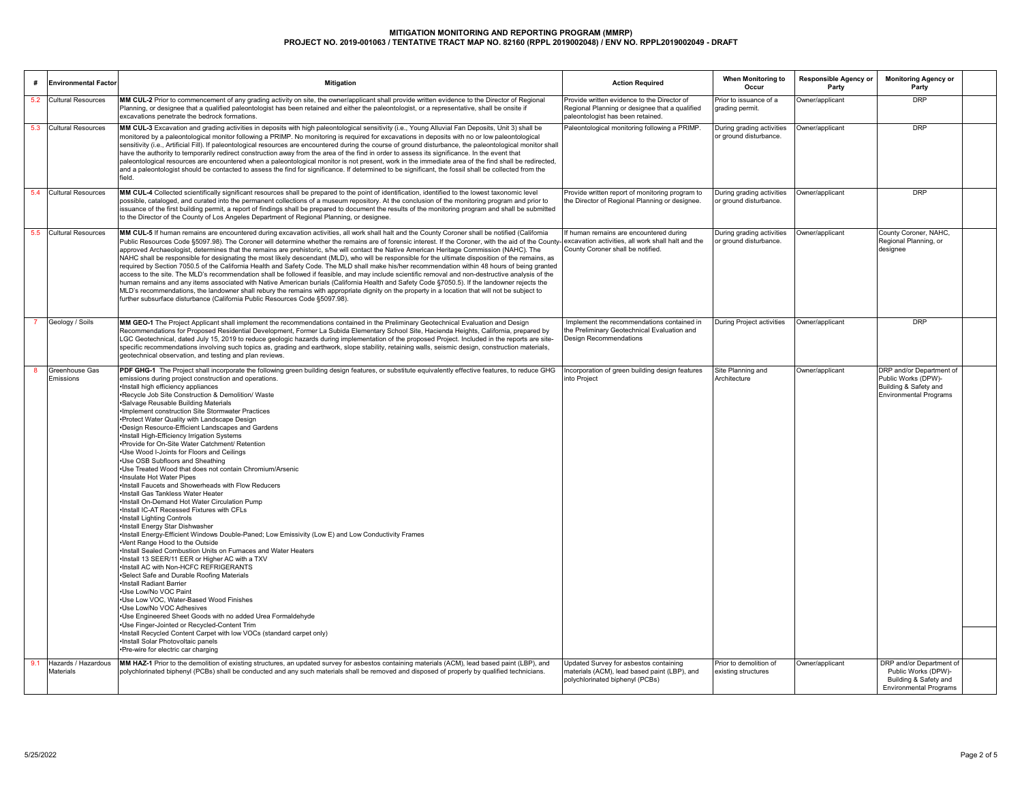|     | <b>Environmental Factor</b>      | <b>Mitigation</b>                                                                                                                                                                                                                                                                                                                                                                                                                                                                                                                                                                                                                                                                                                                                                                                                                                                                                                                                                                                                                                                                                                                                                                                                                                                                                                                                                                                                                                                                                                                                                                                                                                                                                                                                                                                                    | <b>Action Required</b>                                                                                                             | When Monitoring to<br>Occur                         | Responsible Agency or<br>Party | <b>Monitoring Agency or</b><br>Party                                                                      |  |
|-----|----------------------------------|----------------------------------------------------------------------------------------------------------------------------------------------------------------------------------------------------------------------------------------------------------------------------------------------------------------------------------------------------------------------------------------------------------------------------------------------------------------------------------------------------------------------------------------------------------------------------------------------------------------------------------------------------------------------------------------------------------------------------------------------------------------------------------------------------------------------------------------------------------------------------------------------------------------------------------------------------------------------------------------------------------------------------------------------------------------------------------------------------------------------------------------------------------------------------------------------------------------------------------------------------------------------------------------------------------------------------------------------------------------------------------------------------------------------------------------------------------------------------------------------------------------------------------------------------------------------------------------------------------------------------------------------------------------------------------------------------------------------------------------------------------------------------------------------------------------------|------------------------------------------------------------------------------------------------------------------------------------|-----------------------------------------------------|--------------------------------|-----------------------------------------------------------------------------------------------------------|--|
|     | 5.2 Cultural Resources           | MM CUL-2 Prior to commencement of any grading activity on site, the owner/applicant shall provide written evidence to the Director of Regional<br>Planning, or designee that a qualified paleontologist has been retained and either the paleontologist, or a representative, shall be onsite if<br>excavations penetrate the bedrock formations.                                                                                                                                                                                                                                                                                                                                                                                                                                                                                                                                                                                                                                                                                                                                                                                                                                                                                                                                                                                                                                                                                                                                                                                                                                                                                                                                                                                                                                                                    | Provide written evidence to the Director of<br>Regional Planning or designee that a qualified<br>paleontologist has been retained. | Prior to issuance of a<br>grading permit.           | Owner/applicant                | <b>DRP</b>                                                                                                |  |
|     | 5.3 Cultural Resources           | MM CUL-3 Excavation and grading activities in deposits with high paleontological sensitivity (i.e., Young Alluvial Fan Deposits, Unit 3) shall be<br>monitored by a paleontological monitor following a PRIMP. No monitoring is required for excavations in deposits with no or low paleontological<br>sensitivity (i.e., Artificial Fill). If paleontological resources are encountered during the course of ground disturbance, the paleontological monitor shall<br>have the authority to temporarily redirect construction away from the area of the find in order to assess its significance. In the event that<br>paleontological resources are encountered when a paleontological monitor is not present, work in the immediate area of the find shall be redirected.<br>and a paleontologist should be contacted to assess the find for significance. If determined to be significant, the fossil shall be collected from the<br>field.                                                                                                                                                                                                                                                                                                                                                                                                                                                                                                                                                                                                                                                                                                                                                                                                                                                                      | Paleontological monitoring following a PRIMP.                                                                                      | During grading activities<br>or ground disturbance. | Owner/applicant                | <b>DRP</b>                                                                                                |  |
|     | 5.4 Cultural Resources           | MM CUL-4 Collected scientifically significant resources shall be prepared to the point of identification, identified to the lowest taxonomic level<br>possible, cataloged, and curated into the permanent collections of a museum repository. At the conclusion of the monitoring program and prior to<br>issuance of the first building permit, a report of findings shall be prepared to document the results of the monitoring program and shall be submitted<br>to the Director of the County of Los Angeles Department of Regional Planning, or designee.                                                                                                                                                                                                                                                                                                                                                                                                                                                                                                                                                                                                                                                                                                                                                                                                                                                                                                                                                                                                                                                                                                                                                                                                                                                       | Provide written report of monitoring program to<br>the Director of Regional Planning or designee.                                  | During grading activities<br>or ground disturbance. | Owner/applicant                | <b>DRP</b>                                                                                                |  |
|     | 5.5 Cultural Resources           | MM CUL-5 If human remains are encountered during excavation activities, all work shall halt and the County Coroner shall be notified (California<br>Public Resources Code §5097.98). The Coroner will determine whether the remains are of forensic interest. If the Coroner, with the aid of the County-<br>approved Archaeologist, determines that the remains are prehistoric, s/he will contact the Native American Heritage Commission (NAHC). The<br>NAHC shall be responsible for designating the most likely descendant (MLD), who will be responsible for the ultimate disposition of the remains, as<br>required by Section 7050.5 of the California Health and Safety Code. The MLD shall make his/her recommendation within 48 hours of being granted<br>access to the site. The MLD's recommendation shall be followed if feasible, and may include scientific removal and non-destructive analysis of the<br>human remains and any items associated with Native American burials (California Health and Safety Code §7050.5). If the landowner rejects the<br>MLD's recommendations, the landowner shall rebury the remains with appropriate dignity on the property in a location that will not be subject to<br>further subsurface disturbance (California Public Resources Code §5097.98).                                                                                                                                                                                                                                                                                                                                                                                                                                                                                                          | If human remains are encountered during<br>excavation activities, all work shall halt and the<br>County Coroner shall be notified. | During grading activities<br>or ground disturbance. | Owner/applicant                | County Coroner, NAHC,<br>Regional Planning, or<br>designee                                                |  |
|     | Geology / Soils                  | MM GEO-1 The Project Applicant shall implement the recommendations contained in the Preliminary Geotechnical Evaluation and Design<br>Recommendations for Proposed Residential Development, Former La Subida Elementary School Site, Hacienda Heights, California, prepared by<br>LGC Geotechnical, dated July 15, 2019 to reduce geologic hazards during implementation of the proposed Project. Included in the reports are site-<br>specific recommendations involving such topics as, grading and earthwork, slope stability, retaining walls, seismic design, construction materials,<br>geotechnical observation, and testing and plan reviews.                                                                                                                                                                                                                                                                                                                                                                                                                                                                                                                                                                                                                                                                                                                                                                                                                                                                                                                                                                                                                                                                                                                                                                | Implement the recommendations contained in<br>the Preliminary Geotechnical Evaluation and<br><b>Design Recommendations</b>         | During Project activities                           | Owner/applicant                | <b>DRP</b>                                                                                                |  |
|     | Greenhouse Gas<br>Emissions      | PDF GHG-1 The Project shall incorporate the following green building design features, or substitute equivalently effective features, to reduce GHG<br>emissions during project construction and operations.<br>·Install high efficiency appliances<br>*Recycle Job Site Construction & Demolition/ Waste<br>Salvage Reusable Building Materials<br>Implement construction Site Stormwater Practices<br>*Protect Water Quality with Landscape Design<br>*Design Resource-Efficient Landscapes and Gardens<br>·Install High-Efficiency Irrigation Systems<br>*Provide for On-Site Water Catchment/ Retention<br>. Use Wood I-Joints for Floors and Ceilings<br>.Use OSB Subfloors and Sheathing<br>.Use Treated Wood that does not contain Chromium/Arsenic<br>· Insulate Hot Water Pipes<br>. Install Faucets and Showerheads with Flow Reducers<br>·Install Gas Tankless Water Heater<br>. Install On-Demand Hot Water Circulation Pump<br>. Install IC-AT Recessed Fixtures with CFLs<br>. Install Lighting Controls<br>·Install Energy Star Dishwasher<br>•Install Energy-Efficient Windows Double-Paned; Low Emissivity (Low E) and Low Conductivity Frames<br>*Vent Range Hood to the Outside<br>. Install Sealed Combustion Units on Furnaces and Water Heaters<br>. Install 13 SEER/11 EER or Higher AC with a TXV<br>. Install AC with Non-HCFC REFRIGERANTS<br>*Select Safe and Durable Roofing Materials<br>·Install Radiant Barrier<br>.Use Low/No VOC Paint<br>.Use Low VOC, Water-Based Wood Finishes<br>. Use Low/No VOC Adhesives<br>. Use Engineered Sheet Goods with no added Urea Formaldehyde<br>·Use Finger-Jointed or Recycled-Content Trim<br>Install Recycled Content Carpet with low VOCs (standard carpet only)<br>·Install Solar Photovoltaic panels<br>*Pre-wire for electric car charging | Incorporation of green building design features<br>into Project                                                                    | Site Planning and<br>Architecture                   | Owner/applicant                | DRP and/or Department of<br>Public Works (DPW)-<br>Building & Safety and<br><b>Environmental Programs</b> |  |
| 9.1 | Hazards / Hazardous<br>Materials | MM HAZ-1 Prior to the demolition of existing structures, an updated survey for asbestos containing materials (ACM), lead based paint (LBP), and<br>polychlorinated biphenyl (PCBs) shall be conducted and any such materials shall be removed and disposed of properly by qualified technicians.                                                                                                                                                                                                                                                                                                                                                                                                                                                                                                                                                                                                                                                                                                                                                                                                                                                                                                                                                                                                                                                                                                                                                                                                                                                                                                                                                                                                                                                                                                                     | Updated Survey for asbestos containing<br>materials (ACM), lead based paint (LBP), and<br>polychlorinated biphenyl (PCBs)          | Prior to demolition of<br>existing structures       | Owner/applicant                | DRP and/or Department of<br>Public Works (DPW)-<br>Building & Safety and<br><b>Environmental Programs</b> |  |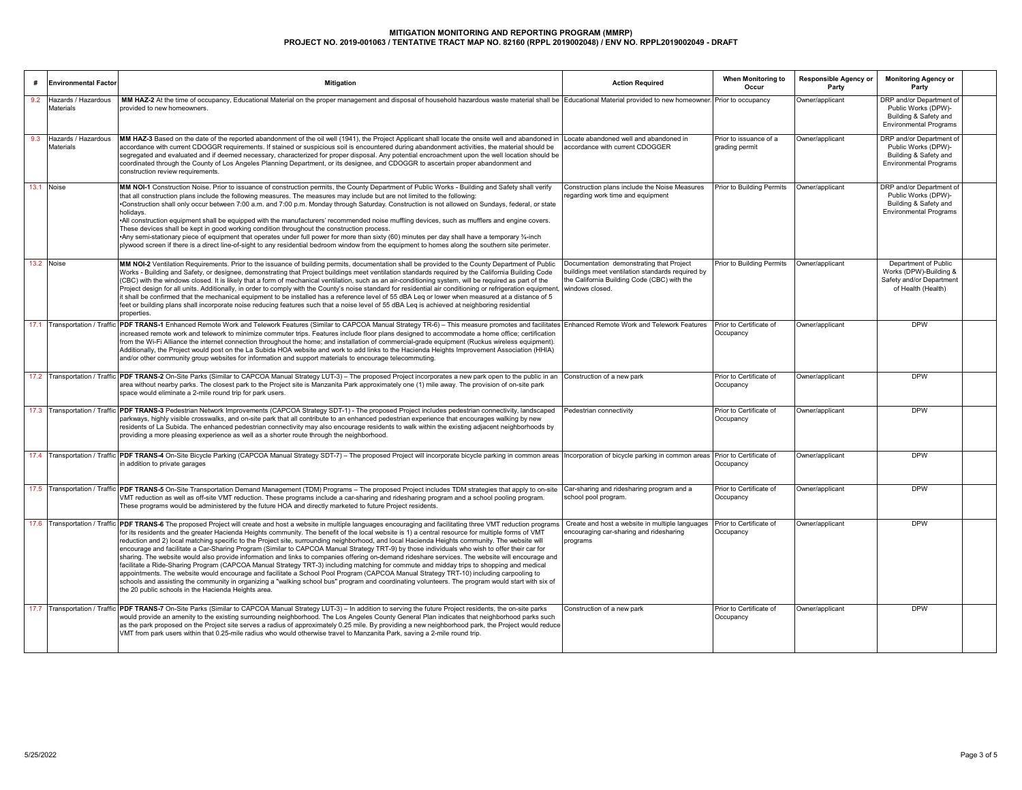| #    | <b>Environmental Factor</b>             | Mitigation                                                                                                                                                                                                                                                                                                                                                                                                                                                                                                                                                                                                                                                                                                                                                                                                                                                                                                                                                                                                                                                                                                                                                                                                                                                                                 | <b>Action Required</b>                                                                                                                                         | When Monitoring to<br>Occur              | <b>Responsible Agency or</b><br>Party | <b>Monitoring Agency or</b><br>Party                                                                      |  |
|------|-----------------------------------------|--------------------------------------------------------------------------------------------------------------------------------------------------------------------------------------------------------------------------------------------------------------------------------------------------------------------------------------------------------------------------------------------------------------------------------------------------------------------------------------------------------------------------------------------------------------------------------------------------------------------------------------------------------------------------------------------------------------------------------------------------------------------------------------------------------------------------------------------------------------------------------------------------------------------------------------------------------------------------------------------------------------------------------------------------------------------------------------------------------------------------------------------------------------------------------------------------------------------------------------------------------------------------------------------|----------------------------------------------------------------------------------------------------------------------------------------------------------------|------------------------------------------|---------------------------------------|-----------------------------------------------------------------------------------------------------------|--|
| 9.2  | Hazards / Hazardous<br><b>Materials</b> | MM HAZ-2 At the time of occupancy, Educational Material on the proper management and disposal of household hazardous waste material shall be Educational Material provided to new homeowner. Prior to occupancy<br>provided to new homeowners.                                                                                                                                                                                                                                                                                                                                                                                                                                                                                                                                                                                                                                                                                                                                                                                                                                                                                                                                                                                                                                             |                                                                                                                                                                |                                          | Owner/applicant                       | DRP and/or Department of<br>Public Works (DPW)-<br>Building & Safety and<br><b>Environmental Programs</b> |  |
| 9.3  | Hazards / Hazardous<br>Materials        | MM HAZ-3 Based on the date of the reported abandonment of the oil well (1941), the Project Applicant shall locate the onsite well and abandoned in<br>accordance with current CDOGGR requirements. If stained or suspicious soil is encountered during abandonment activities, the material should be<br>segregated and evaluated and if deemed necessary, characterized for proper disposal. Any potential encroachment upon the well location should be<br>coordinated through the County of Los Angeles Planning Department, or its designee, and CDOGGR to ascertain proper abandonment and<br>construction review requirements.                                                                                                                                                                                                                                                                                                                                                                                                                                                                                                                                                                                                                                                       | Locate abandoned well and abandoned in<br>accordance with current CDOGGER                                                                                      | Prior to issuance of a<br>grading permit | Owner/applicant                       | DRP and/or Department of<br>Public Works (DPW)-<br>Building & Safety and<br><b>Environmental Programs</b> |  |
| 13.1 | Noise                                   | MM NOI-1 Construction Noise. Prior to issuance of construction permits, the County Department of Public Works - Building and Safety shall verify<br>that all construction plans include the following measures. The measures may include but are not limited to the following:<br>Construction shall only occur between 7:00 a.m. and 7:00 p.m. Monday through Saturday. Construction is not allowed on Sundays, federal, or state<br>holidays.<br>•All construction equipment shall be equipped with the manufacturers' recommended noise muffling devices, such as mufflers and engine covers.<br>These devices shall be kept in good working condition throughout the construction process.<br>*Any semi-stationary piece of equipment that operates under full power for more than sixty (60) minutes per day shall have a temporary 3⁄4-inch<br>plywood screen if there is a direct line-of-sight to any residential bedroom window from the equipment to homes along the southern site perimeter.                                                                                                                                                                                                                                                                                    | Construction plans include the Noise Measures<br>regarding work time and equipment                                                                             | Prior to Building Permits                | Owner/applicant                       | DRP and/or Department of<br>Public Works (DPW)-<br>Building & Safety and<br><b>Environmental Programs</b> |  |
| 13.2 | Noise                                   | MM NOI-2 Ventilation Requirements. Prior to the issuance of building permits, documentation shall be provided to the County Department of Public<br>Works - Building and Safety, or designee, demonstrating that Project buildings meet ventilation standards required by the California Building Code<br>(CBC) with the windows closed. It is likely that a form of mechanical ventilation, such as an air-conditioning system, will be required as part of the<br>Project design for all units. Additionally, in order to comply with the County's noise standard for residential air conditioning or refrigeration equipment,<br>it shall be confirmed that the mechanical equipment to be installed has a reference level of 55 dBA Leg or lower when measured at a distance of 5<br>feet or building plans shall incorporate noise reducing features such that a noise level of 55 dBA Leq is achieved at neighboring residential<br>properties.                                                                                                                                                                                                                                                                                                                                      | Documentation demonstrating that Project<br>buildings meet ventilation standards required by<br>the California Building Code (CBC) with the<br>windows closed. | Prior to Building Permits                | Owner/applicant                       | Department of Public<br>Works (DPW)-Building &<br>Safety and/or Department<br>of Health (Health)          |  |
|      |                                         | 17.1 Transportation / Traffic PDF TRANS-1 Enhanced Remote Work and Telework Features (Similar to CAPCOA Manual Strategy TR-6) - This measure promotes and facilitates<br>increased remote work and telework to minimize commuter trips. Features include floor plans designed to accommodate a home office: certification<br>from the Wi-Fi Alliance the internet connection throughout the home; and installation of commercial-grade equipment (Ruckus wireless equipment).<br>Additionally, the Project would post on the La Subida HOA website and work to add links to the Hacienda Heights Improvement Association (HHIA)<br>and/or other community group websites for information and support materials to encourage telecommuting.                                                                                                                                                                                                                                                                                                                                                                                                                                                                                                                                                 | Enhanced Remote Work and Telework Features Prior to Certificate of                                                                                             | Occupancy                                | Owner/applicant                       | <b>DPW</b>                                                                                                |  |
|      |                                         | 17.2 Transportation / Traffic PDF TRANS-2 On-Site Parks (Similar to CAPCOA Manual Strategy LUT-3) - The proposed Project incorporates a new park open to the public in an<br>area without nearby parks. The closest park to the Project site is Manzanita Park approximately one (1) mile away. The provision of on-site park<br>space would eliminate a 2-mile round trip for park users.                                                                                                                                                                                                                                                                                                                                                                                                                                                                                                                                                                                                                                                                                                                                                                                                                                                                                                 | Construction of a new park                                                                                                                                     | Prior to Certificate of<br>Occupancy     | Owner/applicant                       | <b>DPW</b>                                                                                                |  |
|      |                                         | 17.3 Transportation / Traffic <b>PDF TRANS-3</b> Pedestrian Network Improvements (CAPCOA Strategy SDT-1) - The proposed Project includes pedestrian connectivity, landscaped<br>parkways, highly visible crosswalks, and on-site park that all contribute to an enhanced pedestrian experience that encourages walking by new<br>residents of La Subida. The enhanced pedestrian connectivity may also encourage residents to walk within the existing adjacent neighborhoods by<br>providing a more pleasing experience as well as a shorter route through the neighborhood.                                                                                                                                                                                                                                                                                                                                                                                                                                                                                                                                                                                                                                                                                                              | Pedestrian connectivity                                                                                                                                        | Prior to Certificate of<br>Occupancy     | Owner/applicant                       | <b>DPW</b>                                                                                                |  |
|      |                                         | 17.4 Transportation / Traffic PDF TRANS-4 On-Site Bicycle Parking (CAPCOA Manual Strategy SDT-7) - The proposed Project will incorporate bicycle parking in common areas<br>in addition to private garages                                                                                                                                                                                                                                                                                                                                                                                                                                                                                                                                                                                                                                                                                                                                                                                                                                                                                                                                                                                                                                                                                 | Incorporation of bicycle parking in common areas Prior to Certificate of                                                                                       | Occupancy                                | Owner/applicant                       | <b>DPW</b>                                                                                                |  |
|      |                                         | 17.5 Transportation / Traffic PDF TRANS-5 On-Site Transportation Demand Management (TDM) Programs - The proposed Project includes TDM strategies that apply to on-site<br>VMT reduction as well as off-site VMT reduction. These programs include a car-sharing and ridesharing program and a school pooling program.<br>These programs would be administered by the future HOA and directly marketed to future Project residents.                                                                                                                                                                                                                                                                                                                                                                                                                                                                                                                                                                                                                                                                                                                                                                                                                                                         | Car-sharing and ridesharing program and a<br>school pool program.                                                                                              | Prior to Certificate of<br>Occupancy     | Owner/applicant                       | <b>DPW</b>                                                                                                |  |
|      |                                         | 17.6 Transportation / Traffic PDF TRANS-6 The proposed Project will create and host a website in multiple languages encouraging and facilitating three VMT reduction programs<br>for its residents and the greater Hacienda Heights community. The benefit of the local website is 1) a central resource for multiple forms of VMT<br>reduction and 2) local matching specific to the Proiect site, surrounding neighborhood, and local Hacienda Heights community. The website will<br>encourage and facilitate a Car-Sharing Program (Similar to CAPCOA Manual Strategy TRT-9) by those individuals who wish to offer their car for<br>sharing. The website would also provide information and links to companies offering on-demand rideshare services. The website will encourage and<br>acilitate a Ride-Sharing Program (CAPCOA Manual Strategy TRT-3) including matching for commute and midday trips to shopping and medical<br>appointments. The website would encourage and facilitate a School Pool Program (CAPCOA Manual Strategy TRT-10) including carpooling to<br>schools and assisting the community in organizing a "walking school bus" program and coordinating volunteers. The program would start with six of<br>the 20 public schools in the Hacienda Heights area. | Create and host a website in multiple languages<br>encouraging car-sharing and ridesharing<br>programs                                                         | Prior to Certificate of<br>Occupancy     | Owner/applicant                       | <b>DPW</b>                                                                                                |  |
|      |                                         | 17.7 Transportation / Traffic PDF TRANS-7 On-Site Parks (Similar to CAPCOA Manual Strategy LUT-3) - In addition to serving the future Project residents, the on-site parks<br>would provide an amenity to the existing surrounding neighborhood. The Los Angeles County General Plan indicates that neighborhood parks such<br>as the park proposed on the Project site serves a radius of approximately 0.25 mile. By providing a new neighborhood park, the Project would reduce<br>VMT from park users within that 0.25-mile radius who would otherwise travel to Manzanita Park, saving a 2-mile round trip.                                                                                                                                                                                                                                                                                                                                                                                                                                                                                                                                                                                                                                                                           | Construction of a new park                                                                                                                                     | Prior to Certificate of<br>Occupancy     | Owner/applicant                       | <b>DPW</b>                                                                                                |  |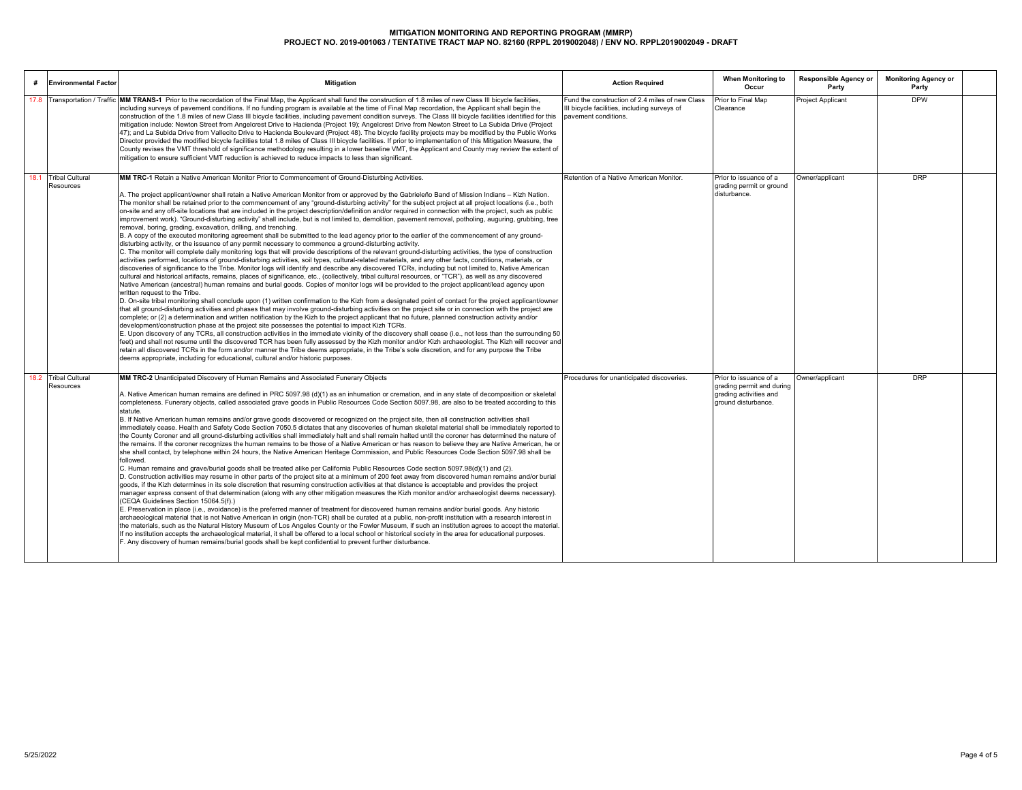| <b>Environmental Factor</b>       | <b>Mitigation</b>                                                                                                                                                                                                                                                                                                                                                                                                                                                                                                                                                                                                                                                                                                                                                                                                                                                                                                                                                                                                                                                                                                                                                                                                                                                                                                                                                                                                                                                                                                                                                                                                                                                                                                                                                                                                                                                                                                                                                                                                                                                                                                                                                                                                                                                                                                                                                                                                                                                                                                                                                                                                                                                                                                                                                                                                                                                                                                                                                                                                                              | <b>Action Required</b>                                                                                                  | When Monitoring to<br>Occur                                                                          | <b>Responsible Agency or</b><br>Party | <b>Monitoring Agency or</b><br>Party |  |
|-----------------------------------|------------------------------------------------------------------------------------------------------------------------------------------------------------------------------------------------------------------------------------------------------------------------------------------------------------------------------------------------------------------------------------------------------------------------------------------------------------------------------------------------------------------------------------------------------------------------------------------------------------------------------------------------------------------------------------------------------------------------------------------------------------------------------------------------------------------------------------------------------------------------------------------------------------------------------------------------------------------------------------------------------------------------------------------------------------------------------------------------------------------------------------------------------------------------------------------------------------------------------------------------------------------------------------------------------------------------------------------------------------------------------------------------------------------------------------------------------------------------------------------------------------------------------------------------------------------------------------------------------------------------------------------------------------------------------------------------------------------------------------------------------------------------------------------------------------------------------------------------------------------------------------------------------------------------------------------------------------------------------------------------------------------------------------------------------------------------------------------------------------------------------------------------------------------------------------------------------------------------------------------------------------------------------------------------------------------------------------------------------------------------------------------------------------------------------------------------------------------------------------------------------------------------------------------------------------------------------------------------------------------------------------------------------------------------------------------------------------------------------------------------------------------------------------------------------------------------------------------------------------------------------------------------------------------------------------------------------------------------------------------------------------------------------------------------|-------------------------------------------------------------------------------------------------------------------------|------------------------------------------------------------------------------------------------------|---------------------------------------|--------------------------------------|--|
| 17.8 Transportation / Traffio     | MM TRANS-1 Prior to the recordation of the Final Map, the Applicant shall fund the construction of 1.8 miles of new Class III bicycle facilities.<br>including surveys of payement conditions. If no funding program is available at the time of Final Map recordation, the Applicant shall begin the<br>construction of the 1.8 miles of new Class III bicycle facilities, including pavement condition surveys. The Class III bicycle facilities identified for this<br>mitigation include: Newton Street from Angelcrest Drive to Hacienda (Project 19); Angelcrest Drive from Newton Street to La Subida Drive (Project<br>47); and La Subida Drive from Vallecito Drive to Hacienda Boulevard (Project 48). The bicycle facility projects may be modified by the Public Works<br>Director provided the modified bicycle facilities total 1.8 miles of Class III bicycle facilities. If prior to implementation of this Mitigation Measure, the<br>County revises the VMT threshold of significance methodology resulting in a lower baseline VMT, the Applicant and County may review the extent of<br>mitigation to ensure sufficient VMT reduction is achieved to reduce impacts to less than significant.                                                                                                                                                                                                                                                                                                                                                                                                                                                                                                                                                                                                                                                                                                                                                                                                                                                                                                                                                                                                                                                                                                                                                                                                                                                                                                                                                                                                                                                                                                                                                                                                                                                                                                                                                                                                                              | Fund the construction of 2.4 miles of new Class<br>III bicycle facilities, including surveys of<br>pavement conditions. | Prior to Final Map<br>Clearance                                                                      | <b>Project Applicant</b>              | <b>DPW</b>                           |  |
| 18.1 Tribal Cultural<br>Resources | MM TRC-1 Retain a Native American Monitor Prior to Commencement of Ground-Disturbing Activities.<br>A. The project applicant/owner shall retain a Native American Monitor from or approved by the Gabrieleño Band of Mission Indians – Kizh Nation.<br>The monitor shall be retained prior to the commencement of any "ground-disturbing activity" for the subject project at all project locations (i.e., both<br>on-site and any off-site locations that are included in the project description/definition and/or required in connection with the project, such as public<br>improvement work). "Ground-disturbing activity" shall include, but is not limited to, demolition, pavement removal, potholing, auguring, grubbing, tree<br>removal, boring, grading, excavation, drilling, and trenching.<br>B. A copy of the executed monitoring agreement shall be submitted to the lead agency prior to the earlier of the commencement of any ground-<br>disturbing activity, or the issuance of any permit necessary to commence a ground-disturbing activity.<br>C. The monitor will complete daily monitoring logs that will provide descriptions of the relevant ground-disturbing activities, the type of construction<br>activities performed, locations of ground-disturbing activities, soil types, cultural-related materials, and any other facts, conditions, materials, or<br>discoveries of significance to the Tribe. Monitor logs will identify and describe any discovered TCRs, including but not limited to, Native American<br>cultural and historical artifacts, remains, places of significance, etc., (collectively, tribal cultural resources, or "TCR"), as well as any discovered<br>Native American (ancestral) human remains and burial goods. Copies of monitor logs will be provided to the project applicant/lead agency upon<br>written request to the Tribe.<br>D. On-site tribal monitoring shall conclude upon (1) written confirmation to the Kizh from a designated point of contact for the project applicant/owner<br>that all ground-disturbing activities and phases that may involve ground-disturbing activities on the project site or in connection with the project are<br>complete; or (2) a determination and written notification by the Kizh to the project applicant that no future, planned construction activity and/or<br>development/construction phase at the project site possesses the potential to impact Kizh TCRs.<br>E. Upon discovery of any TCRs, all construction activities in the immediate vicinity of the discovery shall cease (i.e., not less than the surrounding 50<br>feet) and shall not resume until the discovered TCR has been fully assessed by the Kizh monitor and/or Kizh archaeologist. The Kizh will recover and<br>retain all discovered TCRs in the form and/or manner the Tribe deems appropriate, in the Tribe's sole discretion, and for any purpose the Tribe<br>deems appropriate, including for educational, cultural and/or historic purposes. | Retention of a Native American Monitor                                                                                  | Prior to issuance of a<br>grading permit or ground<br>disturbance.                                   | Owner/applicant                       | <b>DRP</b>                           |  |
| 18.2 Tribal Cultural<br>Resources | MM TRC-2 Unanticipated Discovery of Human Remains and Associated Funerary Objects<br>A. Native American human remains are defined in PRC 5097.98 (d)(1) as an inhumation or cremation, and in any state of decomposition or skeletal<br>completeness. Funerary objects, called associated grave goods in Public Resources Code Section 5097.98, are also to be treated according to this<br>statute.<br>B. If Native American human remains and/or grave goods discovered or recognized on the project site, then all construction activities shall<br>immediately cease. Health and Safety Code Section 7050.5 dictates that any discoveries of human skeletal material shall be immediately reported to<br>the County Coroner and all ground-disturbing activities shall immediately halt and shall remain halted until the coroner has determined the nature of<br>the remains. If the coroner recognizes the human remains to be those of a Native American or has reason to believe they are Native American, he or<br>she shall contact, by telephone within 24 hours, the Native American Heritage Commission, and Public Resources Code Section 5097.98 shall be<br>followed.<br>C. Human remains and grave/burial goods shall be treated alike per California Public Resources Code section 5097.98(d)(1) and (2).<br>D. Construction activities may resume in other parts of the project site at a minimum of 200 feet away from discovered human remains and/or burial<br>goods, if the Kizh determines in its sole discretion that resuming construction activities at that distance is acceptable and provides the project<br>manager express consent of that determination (along with any other mitigation measures the Kizh monitor and/or archaeologist deems necessary).<br>(CEQA Guidelines Section 15064.5(f).)<br>E. Preservation in place (i.e., avoidance) is the preferred manner of treatment for discovered human remains and/or burial goods. Any historic<br>archaeological material that is not Native American in origin (non-TCR) shall be curated at a public, non-profit institution with a research interest in<br>the materials, such as the Natural History Museum of Los Angeles County or the Fowler Museum, if such an institution agrees to accept the material.<br>If no institution accepts the archaeological material, it shall be offered to a local school or historical society in the area for educational purposes.<br>F. Any discovery of human remains/burial goods shall be kept confidential to prevent further disturbance.                                                                                                                                                                                                                                                                                                                                                                                                                                                              | Procedures for unanticipated discoveries.                                                                               | Prior to issuance of a<br>grading permit and during<br>grading activities and<br>ground disturbance. | Owner/applicant                       | <b>DRP</b>                           |  |